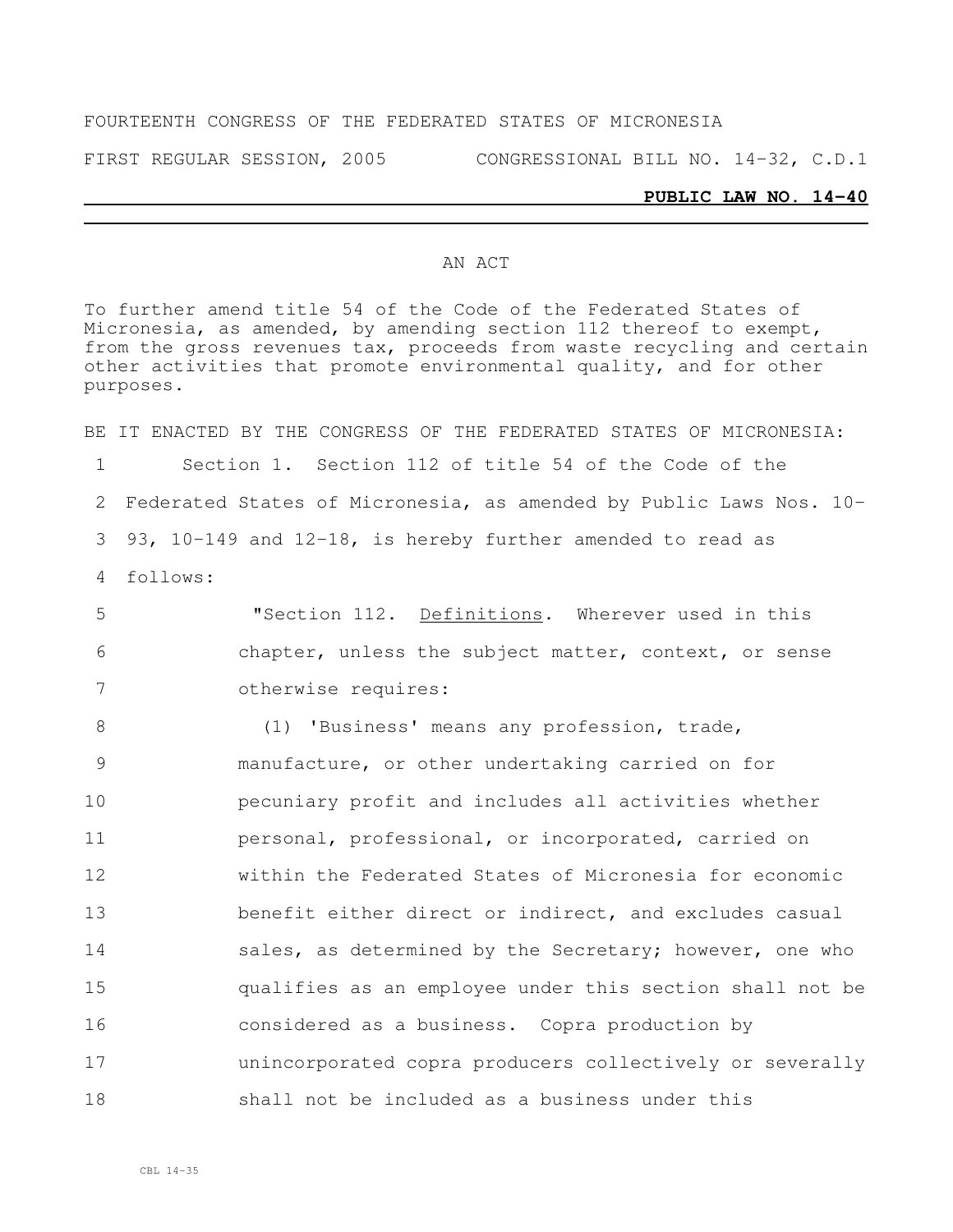### FOURTEENTH CONGRESS OF THE FEDERATED STATES OF MICRONESIA

FIRST REGULAR SESSION, 2005 CONGRESSIONAL BILL NO. 14-32, C.D.1

#### **PUBLIC LAW NO. 14-40**

#### AN ACT

To further amend title 54 of the Code of the Federated States of Micronesia, as amended, by amending section 112 thereof to exempt, from the gross revenues tax, proceeds from waste recycling and certain other activities that promote environmental quality, and for other purposes.

BE IT ENACTED BY THE CONGRESS OF THE FEDERATED STATES OF MICRONESIA: 1 Section 1. Section 112 of title 54 of the Code of the 2 Federated States of Micronesia, as amended by Public Laws Nos. 10- 3 93, 10-149 and 12-18, is hereby further amended to read as 4 follows:

5 "Section 112. Definitions. Wherever used in this 6 chapter, unless the subject matter, context, or sense 7 otherwise requires:

8 (1) 'Business' means any profession, trade, manufacture, or other undertaking carried on for pecuniary profit and includes all activities whether **personal, professional, or incorporated, carried on**  within the Federated States of Micronesia for economic benefit either direct or indirect, and excludes casual 14 sales, as determined by the Secretary; however, one who qualifies as an employee under this section shall not be considered as a business. Copra production by unincorporated copra producers collectively or severally shall not be included as a business under this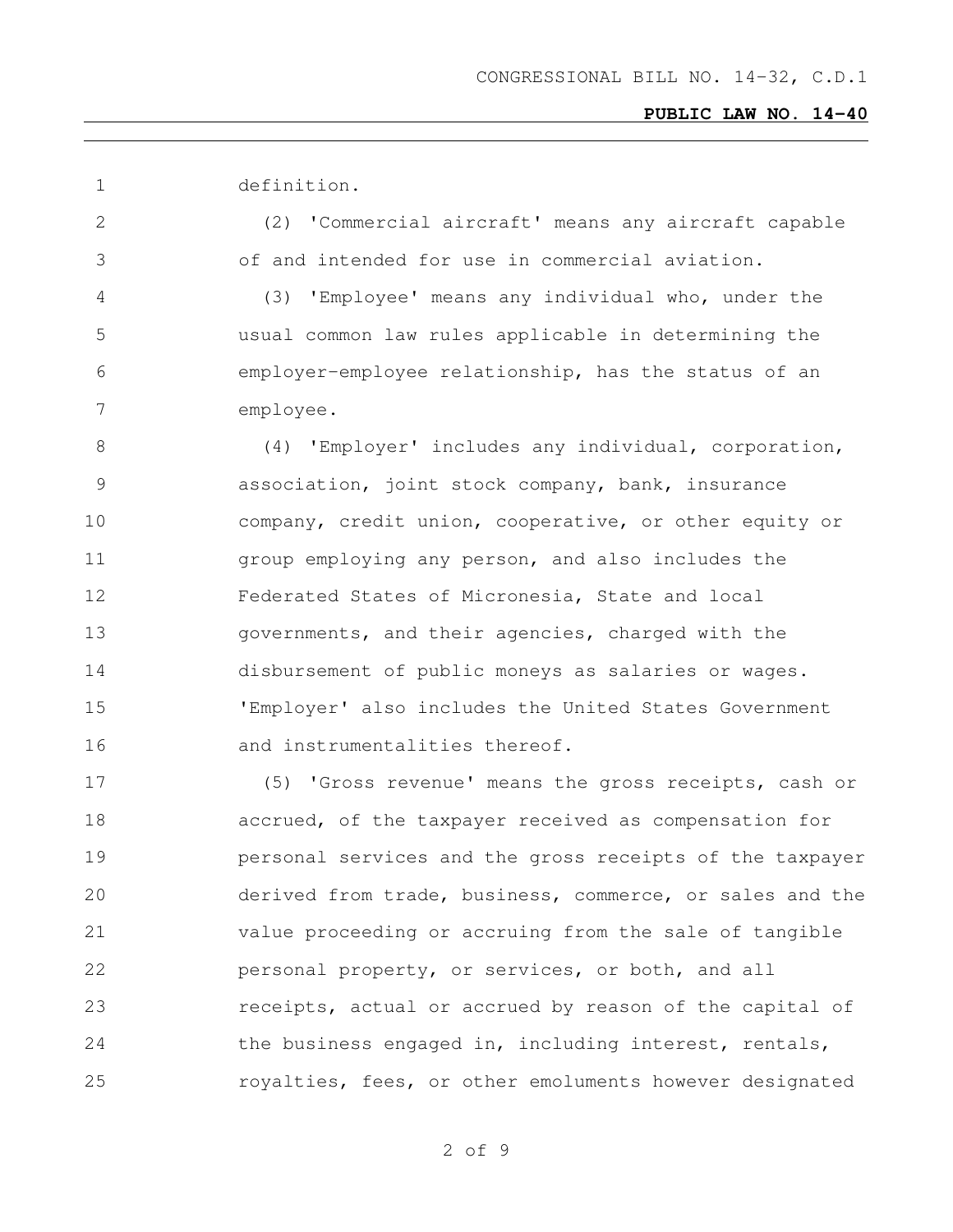definition.

 (2) 'Commercial aircraft' means any aircraft capable of and intended for use in commercial aviation.

 (3) 'Employee' means any individual who, under the usual common law rules applicable in determining the employer-employee relationship, has the status of an employee.

8 (4) 'Employer' includes any individual, corporation, association, joint stock company, bank, insurance company, credit union, cooperative, or other equity or group employing any person, and also includes the Federated States of Micronesia, State and local governments, and their agencies, charged with the disbursement of public moneys as salaries or wages. 'Employer' also includes the United States Government 16 and instrumentalities thereof.

 (5) 'Gross revenue' means the gross receipts, cash or accrued, of the taxpayer received as compensation for personal services and the gross receipts of the taxpayer derived from trade, business, commerce, or sales and the value proceeding or accruing from the sale of tangible 22 personal property, or services, or both, and all **receipts, actual or accrued by reason of the capital of** 24 the business engaged in, including interest, rentals, royalties, fees, or other emoluments however designated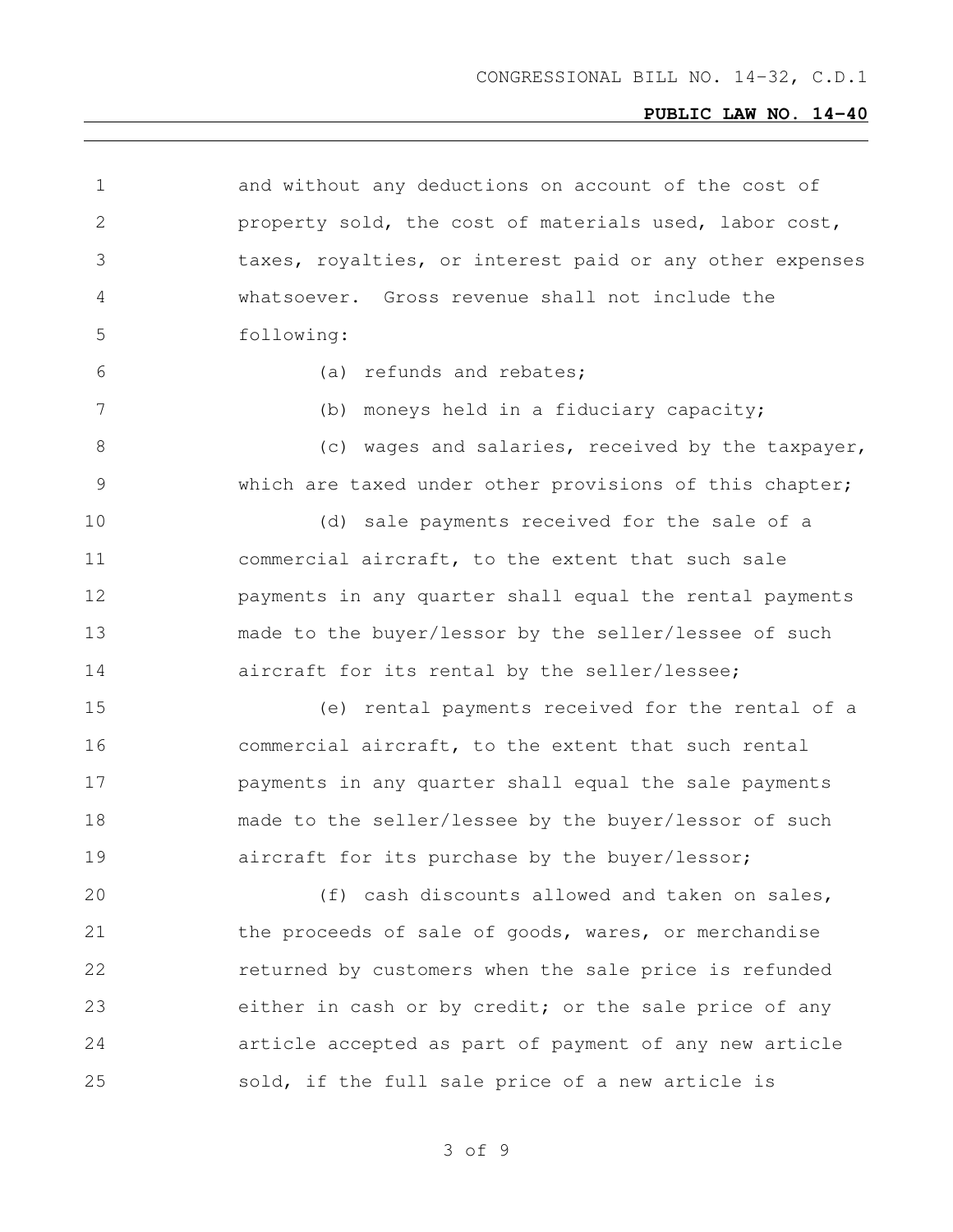and without any deductions on account of the cost of property sold, the cost of materials used, labor cost, taxes, royalties, or interest paid or any other expenses whatsoever. Gross revenue shall not include the following: (a) refunds and rebates; (b) moneys held in a fiduciary capacity; 8 (c) wages and salaries, received by the taxpayer, which are taxed under other provisions of this chapter; (d) sale payments received for the sale of a commercial aircraft, to the extent that such sale payments in any quarter shall equal the rental payments made to the buyer/lessor by the seller/lessee of such aircraft for its rental by the seller/lessee; (e) rental payments received for the rental of a commercial aircraft, to the extent that such rental payments in any quarter shall equal the sale payments made to the seller/lessee by the buyer/lessor of such **a** aircraft for its purchase by the buyer/lessor; (f) cash discounts allowed and taken on sales, 21 the proceeds of sale of goods, wares, or merchandise returned by customers when the sale price is refunded either in cash or by credit; or the sale price of any article accepted as part of payment of any new article sold, if the full sale price of a new article is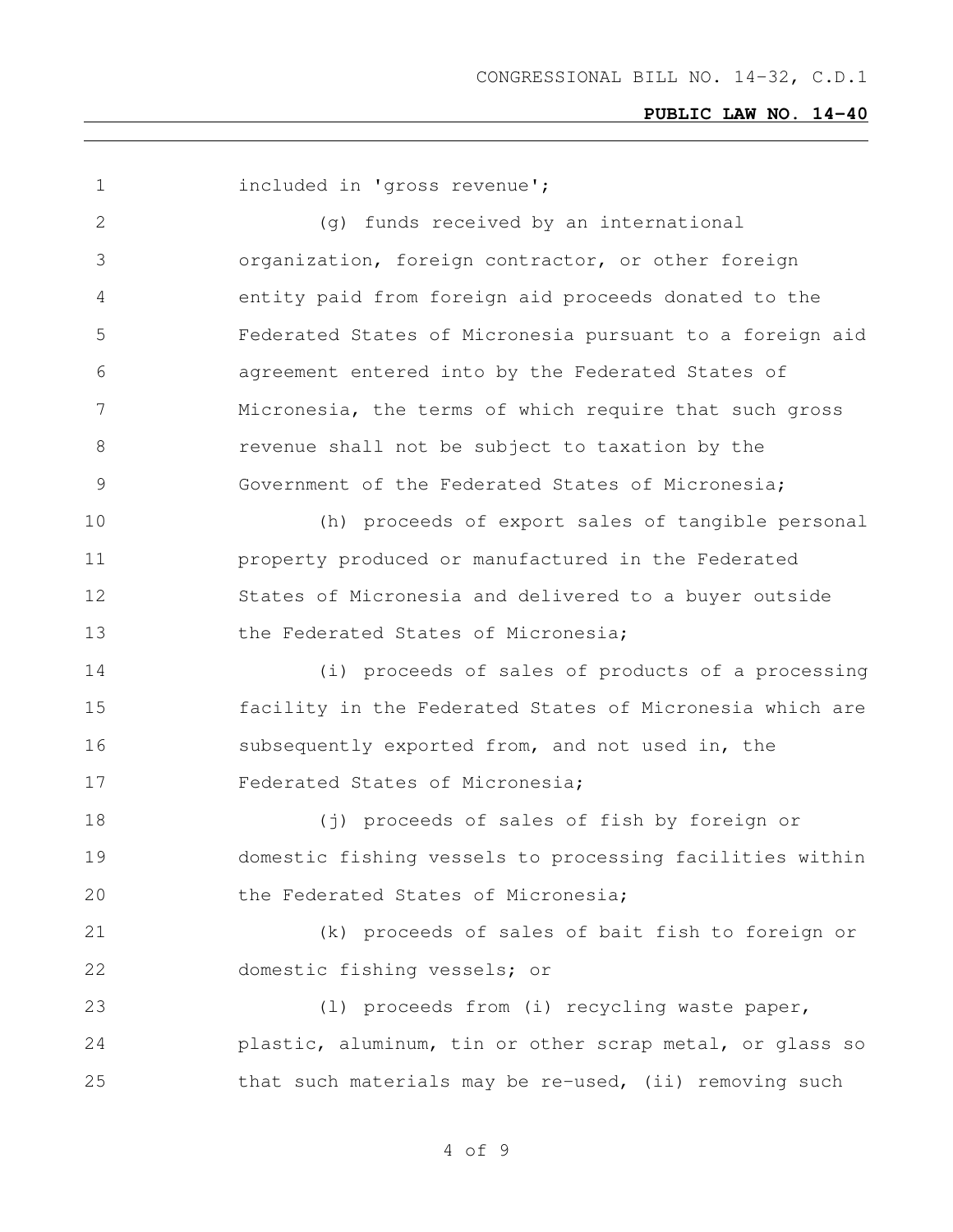1 included in 'gross revenue'; (g) funds received by an international organization, foreign contractor, or other foreign entity paid from foreign aid proceeds donated to the Federated States of Micronesia pursuant to a foreign aid agreement entered into by the Federated States of Micronesia, the terms of which require that such gross revenue shall not be subject to taxation by the Government of the Federated States of Micronesia; (h) proceeds of export sales of tangible personal property produced or manufactured in the Federated States of Micronesia and delivered to a buyer outside 13 the Federated States of Micronesia; (i) proceeds of sales of products of a processing facility in the Federated States of Micronesia which are subsequently exported from, and not used in, the Federated States of Micronesia; (j) proceeds of sales of fish by foreign or domestic fishing vessels to processing facilities within 20 the Federated States of Micronesia; (k) proceeds of sales of bait fish to foreign or domestic fishing vessels; or (l) proceeds from (i) recycling waste paper, plastic, aluminum, tin or other scrap metal, or glass so that such materials may be re-used, (ii) removing such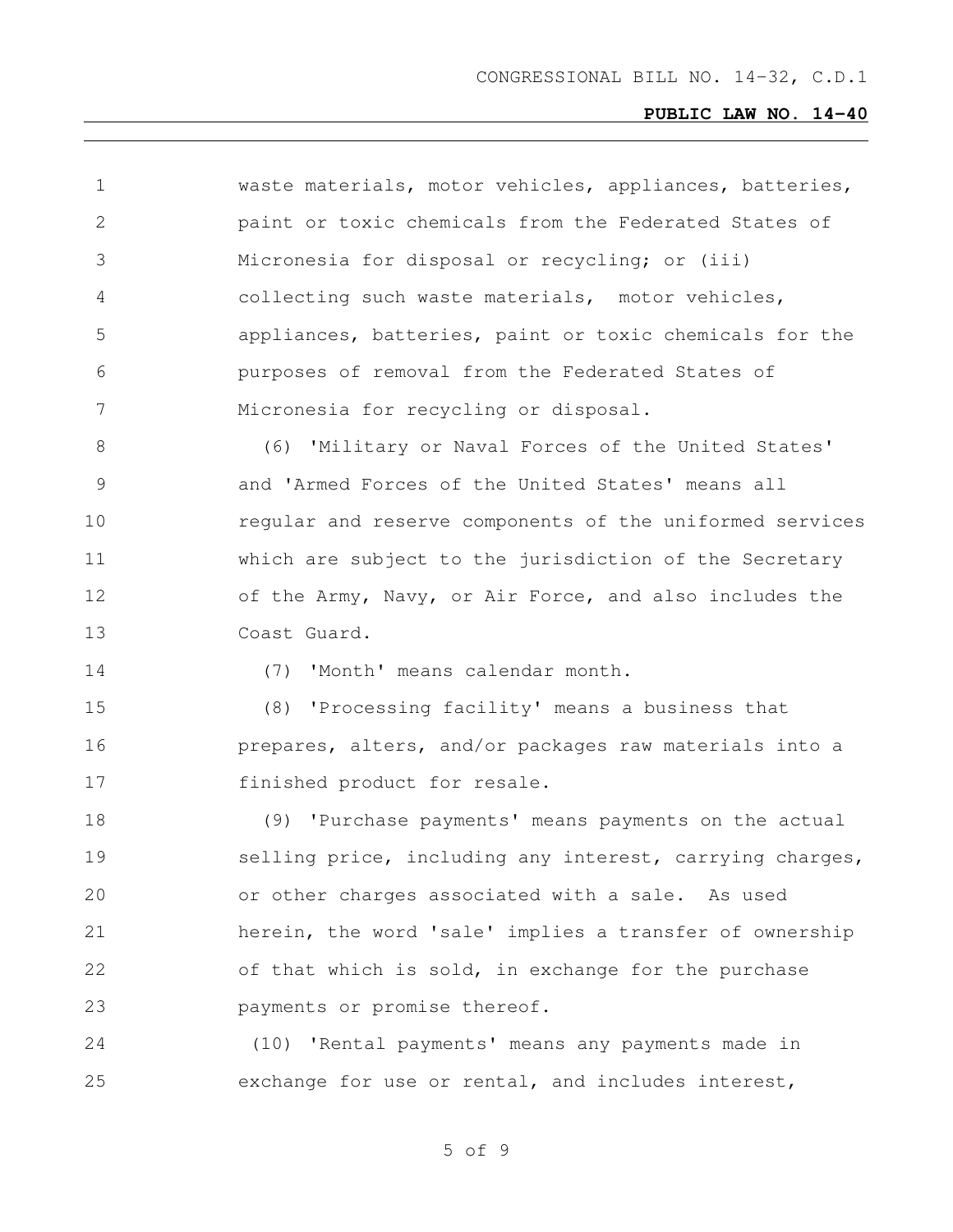| 1             | waste materials, motor vehicles, appliances, batteries,  |
|---------------|----------------------------------------------------------|
| $\mathbf{2}$  | paint or toxic chemicals from the Federated States of    |
| 3             | Micronesia for disposal or recycling; or (iii)           |
| 4             | collecting such waste materials, motor vehicles,         |
| 5             | appliances, batteries, paint or toxic chemicals for the  |
| 6             | purposes of removal from the Federated States of         |
| 7             | Micronesia for recycling or disposal.                    |
| 8             | (6) 'Military or Naval Forces of the United States'      |
| $\mathcal{G}$ | and 'Armed Forces of the United States' means all        |
| 10            | regular and reserve components of the uniformed services |
| 11            | which are subject to the jurisdiction of the Secretary   |
| 12            | of the Army, Navy, or Air Force, and also includes the   |
| 13            | Coast Guard.                                             |
| 14            | (7) 'Month' means calendar month.                        |
| 15            | (8) 'Processing facility' means a business that          |
| 16            | prepares, alters, and/or packages raw materials into a   |
| 17            | finished product for resale.                             |
| 18            | (9) 'Purchase payments' means payments on the actual     |
| 19            | selling price, including any interest, carrying charges, |
| 20            | or other charges associated with a sale. As used         |
| 21            | herein, the word 'sale' implies a transfer of ownership  |
| 22            | of that which is sold, in exchange for the purchase      |
| 23            | payments or promise thereof.                             |
| 24            | (10) 'Rental payments' means any payments made in        |
| 25            | exchange for use or rental, and includes interest,       |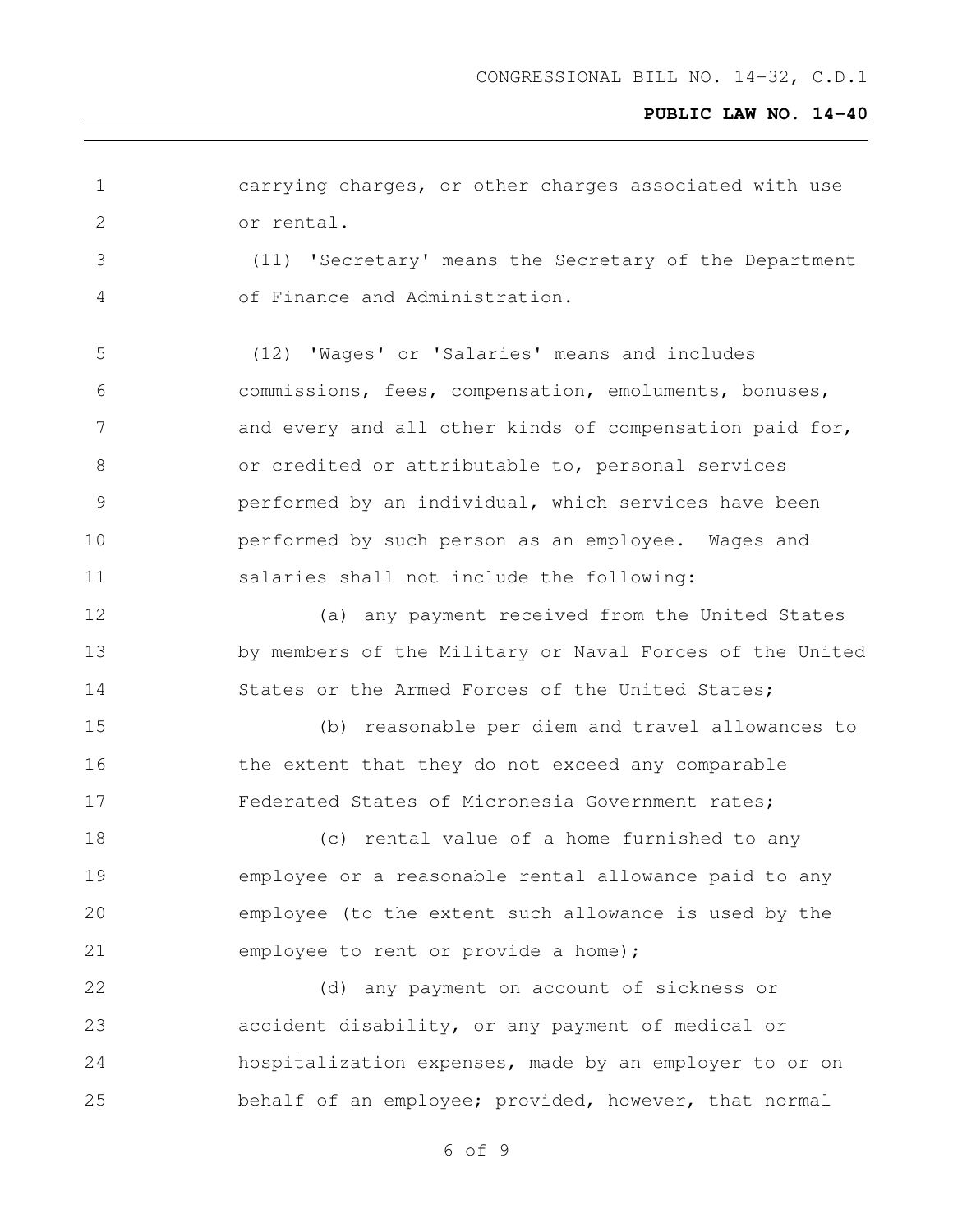| $\mathbf 1$   | carrying charges, or other charges associated with use   |
|---------------|----------------------------------------------------------|
| $\mathbf{2}$  | or rental.                                               |
| 3             | (11) 'Secretary' means the Secretary of the Department   |
| 4             | of Finance and Administration.                           |
| 5             | (12) 'Wages' or 'Salaries' means and includes            |
| 6             | commissions, fees, compensation, emoluments, bonuses,    |
| 7             | and every and all other kinds of compensation paid for,  |
| 8             | or credited or attributable to, personal services        |
| $\mathcal{G}$ | performed by an individual, which services have been     |
| 10            | performed by such person as an employee. Wages and       |
| 11            | salaries shall not include the following:                |
| 12            | (a) any payment received from the United States          |
| 13            | by members of the Military or Naval Forces of the United |
| 14            | States or the Armed Forces of the United States;         |
| 15            | (b) reasonable per diem and travel allowances to         |
| 16            | the extent that they do not exceed any comparable        |
| 17            | Federated States of Micronesia Government rates;         |
| 18            | (c) rental value of a home furnished to any              |
| 19            | employee or a reasonable rental allowance paid to any    |
| 20            | employee (to the extent such allowance is used by the    |
| 21            | employee to rent or provide a home);                     |
| 22            | (d) any payment on account of sickness or                |
| 23            | accident disability, or any payment of medical or        |
| 24            | hospitalization expenses, made by an employer to or on   |
| 25            | behalf of an employee; provided, however, that normal    |
|               |                                                          |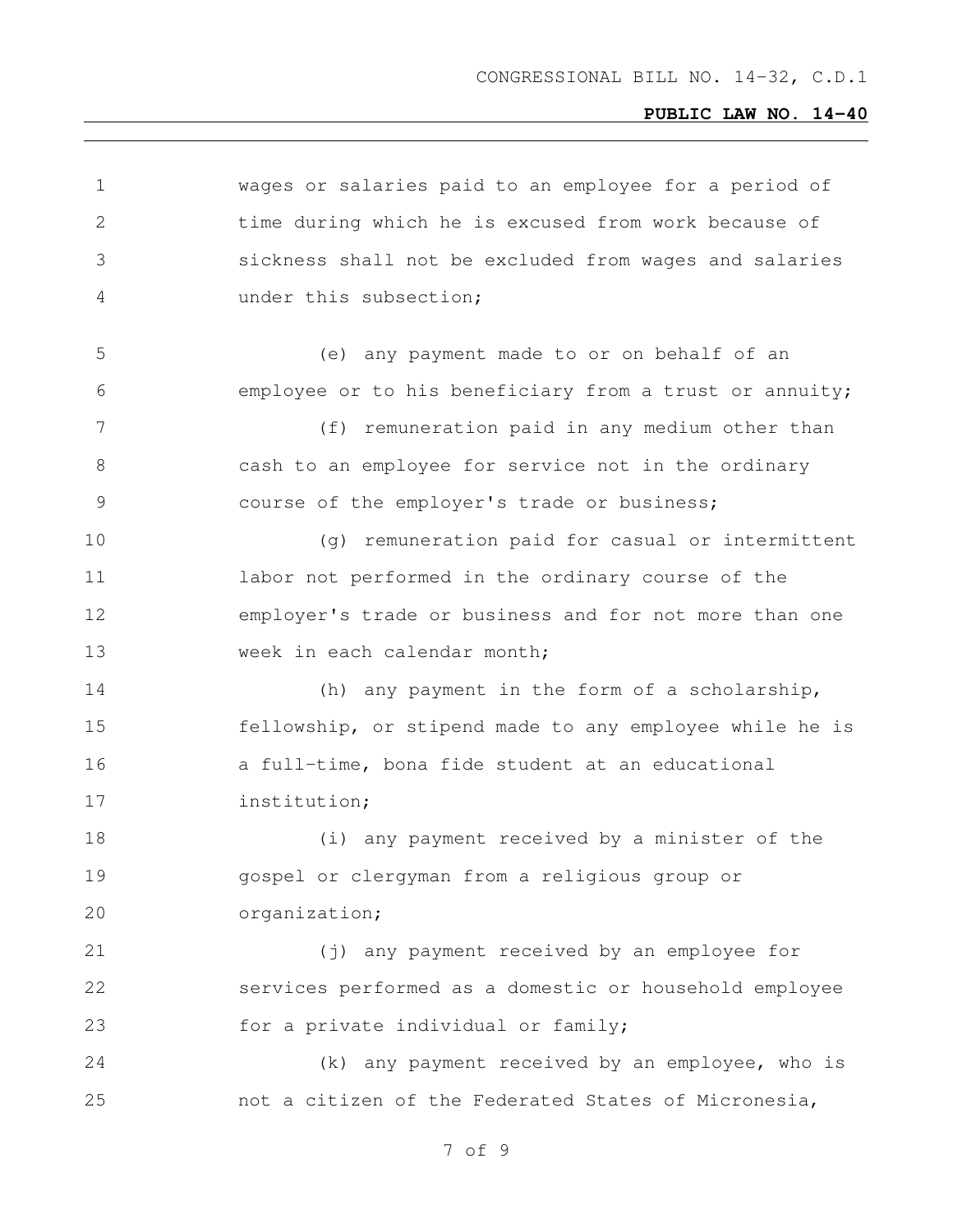| 1             | wages or salaries paid to an employee for a period of   |
|---------------|---------------------------------------------------------|
| 2             | time during which he is excused from work because of    |
| 3             | sickness shall not be excluded from wages and salaries  |
| 4             | under this subsection;                                  |
| 5             | (e) any payment made to or on behalf of an              |
| 6             | employee or to his beneficiary from a trust or annuity; |
| 7             | (f) remuneration paid in any medium other than          |
| 8             | cash to an employee for service not in the ordinary     |
| $\mathcal{G}$ | course of the employer's trade or business;             |
| 10            | (g) remuneration paid for casual or intermittent        |
| 11            | labor not performed in the ordinary course of the       |
| 12            | employer's trade or business and for not more than one  |
| 13            | week in each calendar month;                            |
| 14            | (h) any payment in the form of a scholarship,           |
| 15            | fellowship, or stipend made to any employee while he is |
| 16            | a full-time, bona fide student at an educational        |
| 17            | institution;                                            |
| 18            | (i) any payment received by a minister of the           |
| 19            | gospel or clergyman from a religious group or           |
| 20            | organization;                                           |
| 21            | (j) any payment received by an employee for             |
| 22            | services performed as a domestic or household employee  |
| 23            | for a private individual or family;                     |
| 24            | (k) any payment received by an employee, who is         |
| 25            | not a citizen of the Federated States of Micronesia,    |
|               |                                                         |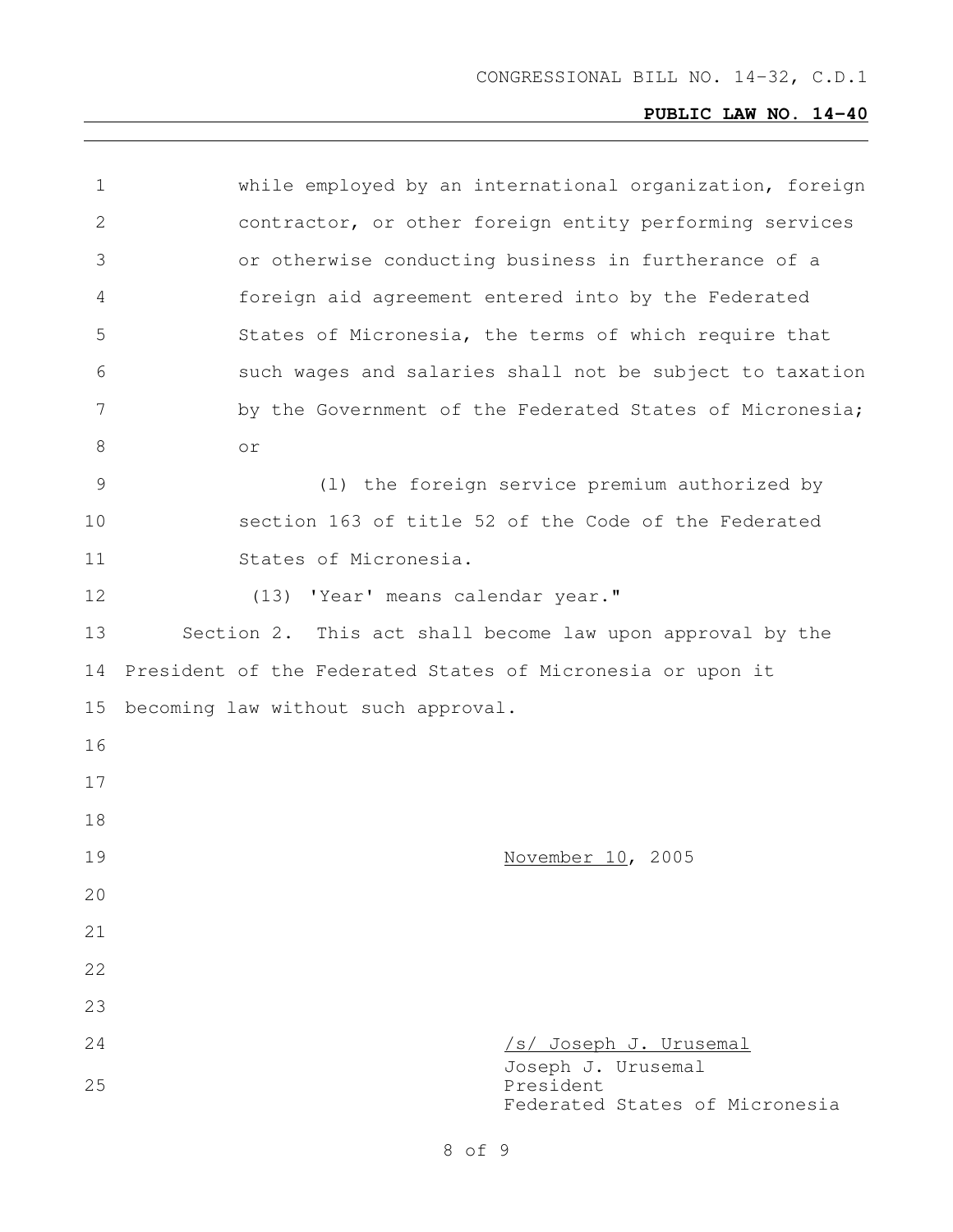| 1  | while employed by an international organization, foreign          |
|----|-------------------------------------------------------------------|
| 2  | contractor, or other foreign entity performing services           |
| 3  | or otherwise conducting business in furtherance of a              |
| 4  | foreign aid agreement entered into by the Federated               |
| 5  | States of Micronesia, the terms of which require that             |
| 6  | such wages and salaries shall not be subject to taxation          |
| 7  | by the Government of the Federated States of Micronesia;          |
| 8  | or                                                                |
| 9  | (1) the foreign service premium authorized by                     |
| 10 | section 163 of title 52 of the Code of the Federated              |
| 11 | States of Micronesia.                                             |
| 12 | (13) 'Year' means calendar year."                                 |
| 13 | Section 2. This act shall become law upon approval by the         |
| 14 | President of the Federated States of Micronesia or upon it        |
| 15 | becoming law without such approval.                               |
| 16 |                                                                   |
| 17 |                                                                   |
| 18 |                                                                   |
| 19 | November 10, 2005                                                 |
| 20 |                                                                   |
| 21 |                                                                   |
| 22 |                                                                   |
| 23 |                                                                   |
| 24 | /s/ Joseph J. Urusemal                                            |
| 25 | Joseph J. Urusemal<br>President<br>Federated States of Micronesia |